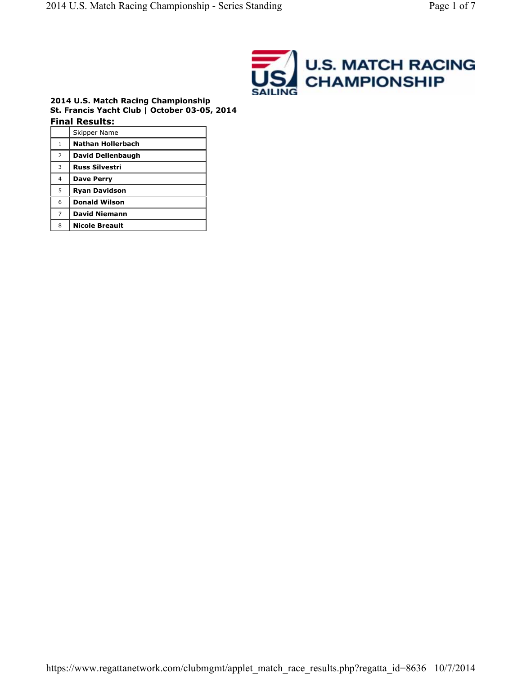

#### **2014 U.S. Match Racing Championship St. Francis Yacht Club | October 03-05, 2014 Final Results:**

|                | Skipper Name             |
|----------------|--------------------------|
| 1              | <b>Nathan Hollerbach</b> |
| 2              | David Dellenbaugh        |
| 3              | <b>Russ Silvestri</b>    |
| 4              | <b>Dave Perry</b>        |
| 5              | <b>Ryan Davidson</b>     |
| 6              | <b>Donald Wilson</b>     |
| $\overline{7}$ | <b>David Niemann</b>     |
| 8              | <b>Nicole Breault</b>    |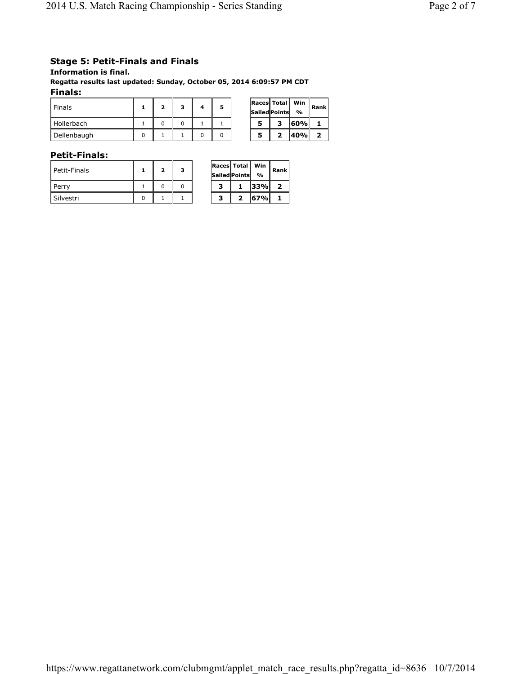# **Stage 5: Petit-Finals and Finals**

**Information is final.**

**Regatta results last updated: Sunday, October 05, 2014 6:09:57 PM CDT Finals:** 

| Finals      |  |  | 5 |   | <b>Races Total</b><br>Sailed Points | Win<br>$\frac{0}{\alpha}$ | Rank |
|-------------|--|--|---|---|-------------------------------------|---------------------------|------|
| Hollerbach  |  |  |   | 5 | -                                   | ا‰160                     |      |
| Dellenbaugh |  |  |   | 5 |                                     | ا%140                     | 2    |

### **Petit-Finals:**

| l Petit-Finals | 2 | з |  | <b>Races Total Win</b><br><b>Sailed Points</b> | %     | Rar                     |
|----------------|---|---|--|------------------------------------------------|-------|-------------------------|
| l Perrv        |   |   |  |                                                | 33%   | $\overline{\mathbf{2}}$ |
| l Silvestri    |   |   |  |                                                | 167%I |                         |

| Races  Total  <br><b>Sailed Points</b> |   | Win<br>$\frac{0}{0}$ | Rank |  |  |
|----------------------------------------|---|----------------------|------|--|--|
| з                                      |   | 33%                  | 2    |  |  |
| з                                      | 2 | 67%                  |      |  |  |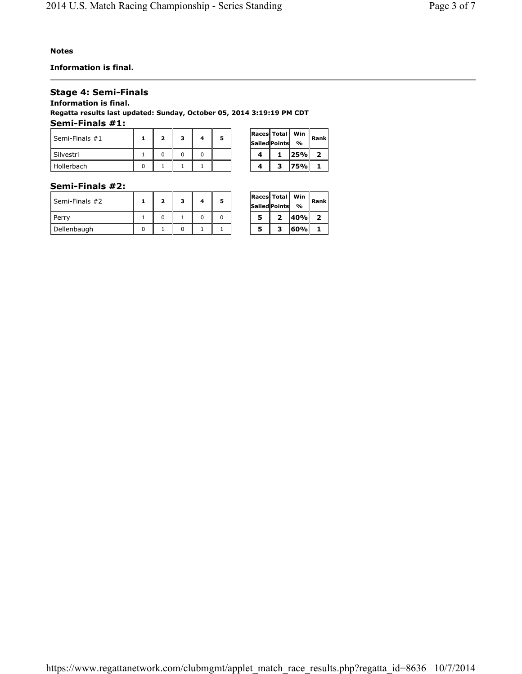**Information is final.**

### **Stage 4: Semi-Finals**

**Information is final.**

**Regatta results last updated: Sunday, October 05, 2014 3:19:19 PM CDT Semi-Finals #1:** 

| Semi-Finals #1 |  | э |  |  | <b>Races Total Win</b><br>Sailed Points | $\frac{1}{2}$ | Rar                     |
|----------------|--|---|--|--|-----------------------------------------|---------------|-------------------------|
| Silvestri      |  |   |  |  |                                         | 125%I         | $\overline{\mathbf{2}}$ |
| Hollerbach     |  |   |  |  |                                         | 75%I          |                         |

| Races Total | Sailed Points | Win<br>$\frac{0}{\alpha}$ | Rank |  |
|-------------|---------------|---------------------------|------|--|
|             |               | 25%                       | 2    |  |
|             | з             | 75%                       |      |  |

### **Semi-Finals #2:**

| Semi-Finals #2 |  | 2 |  |  | <b>Races Total Win</b><br><b>Sailed Points</b> | $\frac{1}{2}$ | Rar                     |
|----------------|--|---|--|--|------------------------------------------------|---------------|-------------------------|
| Perry          |  |   |  |  |                                                | ا%140         | $\overline{\mathbf{2}}$ |
| Dellenbaugh    |  |   |  |  |                                                | 60%           |                         |

| Races   Total   <br>Sailed Points |   | Win<br>% | Rank l |  |  |
|-----------------------------------|---|----------|--------|--|--|
| 5                                 | 2 | 40%      | 2      |  |  |
| 5                                 | з | 60%      |        |  |  |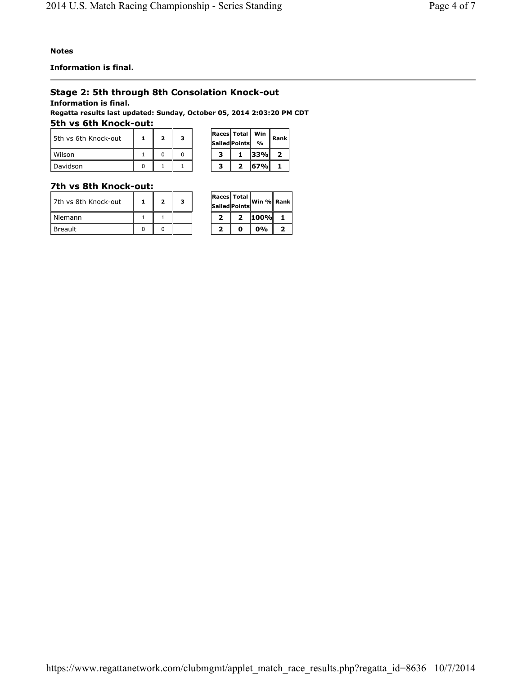**Information is final.**

# **Stage 2: 5th through 8th Consolation Knock-out**

**Information is final.**

**Regatta results last updated: Sunday, October 05, 2014 2:03:20 PM CDT 5th vs 6th Knock-out:** 

| 5th vs 6th Knock-out |  | з |  | Races   Total   Win<br><b>Sailed Points</b> | $\frac{1}{2}$ | Rank |
|----------------------|--|---|--|---------------------------------------------|---------------|------|
| Wilson               |  |   |  |                                             | <b>33%</b>    |      |
| Davidson             |  |   |  |                                             | <b>167%</b>   |      |

### **7th vs 8th Knock-out:**

| l 7th vs 8th Knock-out | $\overline{\mathbf{2}}$ | з | <b>Races Total</b><br><b>Sailed Points</b> | lWin %l Rar |    |
|------------------------|-------------------------|---|--------------------------------------------|-------------|----|
| Niemann                |                         |   |                                            | 100%        | -1 |
| Breault                |                         |   |                                            | $0\%$       | ,  |

|   | <b>Races Total</b><br>Sailed Points | Win % Rank |   |  |
|---|-------------------------------------|------------|---|--|
| 2 |                                     | 100%       |   |  |
| ↗ |                                     | 0%         | 7 |  |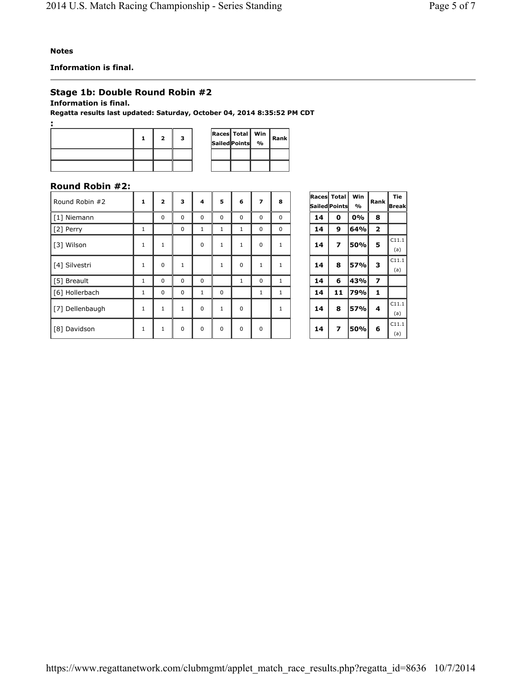**Information is final.**

# **Stage 1b: Double Round Robin #2**

**Information is final.**

**Regatta results last updated: Saturday, October 04, 2014 8:35:52 PM CDT**

|  |  |  | $ {\tt Races}$ Total $ {\tt Win} $<br>Sailed Points % | Rank |
|--|--|--|-------------------------------------------------------|------|
|  |  |  |                                                       |      |
|  |  |  |                                                       |      |

# **Round Robin #2:**

| Round Robin #2  | $\mathbf{1}$ | $\overline{2}$ | 3            | 4            | 5            | 6            | 7            | 8            |    | <b>Races</b> Total<br><b>Sailed Points</b> | <b>Win</b><br>$\frac{1}{2}$ | Rank           | Tie<br>Break |
|-----------------|--------------|----------------|--------------|--------------|--------------|--------------|--------------|--------------|----|--------------------------------------------|-----------------------------|----------------|--------------|
| [1] Niemann     |              | $\Omega$       | 0            | $\Omega$     | $\Omega$     | $\mathbf 0$  | $\Omega$     | $\Omega$     | 14 | $\mathbf{0}$                               | 0%                          | 8              |              |
| [2] Perry       | 1            |                | $\Omega$     | 1            | 1            | 1            | $\Omega$     | $\Omega$     | 14 | 9                                          | 64%                         | $\overline{2}$ |              |
| [3] Wilson      | $\mathbf{1}$ | 1              |              | 0            | $\mathbf{1}$ | $\mathbf{1}$ | $\Omega$     | $\mathbf{1}$ | 14 | $\overline{\phantom{a}}$                   | 50%                         | 5              | C11.1<br>(a) |
| [4] Silvestri   | $\mathbf{1}$ | $\Omega$       | 1            |              | $\mathbf{1}$ | $\mathbf 0$  | $\mathbf{1}$ | $\mathbf{1}$ | 14 | 8                                          | <b>57%</b>                  | 3              | C11.1<br>(a) |
| [5] Breault     | 1            | $\Omega$       | 0            | 0            |              | 1            | $\mathbf 0$  | 1            | 14 | 6                                          | 43%                         | 7              |              |
| [6] Hollerbach  | $\mathbf{1}$ | $\Omega$       | $\Omega$     | $\mathbf{1}$ | $\mathbf 0$  |              | 1            | $\mathbf{1}$ | 14 | 11                                         | 79%                         | 1              |              |
| [7] Dellenbaugh | $\mathbf{1}$ | $\mathbf{1}$   | $\mathbf{1}$ | $\Omega$     | $\mathbf{1}$ | $\Omega$     |              | $\mathbf{1}$ | 14 | 8                                          | 57%                         | 4              | C11.1<br>(a) |
| [8] Davidson    | $\mathbf{1}$ | $\mathbf{1}$   | $\Omega$     | $\Omega$     | $\Omega$     | $\Omega$     | $\Omega$     |              | 14 | 7                                          | 50%                         | 6              | C11.1<br>(a) |

| Races   Total | Sailed Points | Win<br>% | Rank                    | <b>Tie</b><br>Break |
|---------------|---------------|----------|-------------------------|---------------------|
| 14            | 0             | 0%       | 8                       |                     |
| 14            | 9             | 64%      | $\overline{\mathbf{2}}$ |                     |
| 14            | 7             | 50%      | 5                       | C11.1<br>(a)        |
| 14            | 8             | 57%      | з                       | C11.1<br>(a)        |
| 14            | 6             | 43%      | $\overline{\mathbf{z}}$ |                     |
| 14            | 11            | 79%      | 1                       |                     |
| 14            | 8             | 57%      | 4                       | C11.1<br>(a)        |
| 14            | 7             | 50%      | 6                       | C11.1<br>(a)        |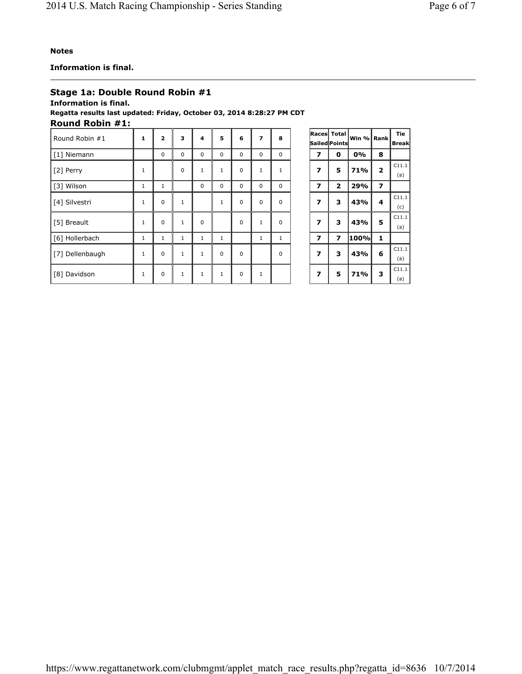https://www.regattanetwork.com/clubmgmt/applet\_match\_race\_results.php?regatta\_id=8636 10/7/2014

## **Information is final.**

## **Stage 1a: Double Round Robin #1**

## **Information is final.**

### **Regatta results last updated: Friday, October 03, 2014 8:28:27 PM CDT Round Robin #1:**

| Round Robin #1  | $\mathbf{1}$ | $\overline{2}$ | 3            | 4            | 5            | 6           | $\overline{\phantom{a}}$ | 8            |                         | Races Total<br>Sailed Points | lWin %l Rank |                          | Tie<br><b>Break</b> |
|-----------------|--------------|----------------|--------------|--------------|--------------|-------------|--------------------------|--------------|-------------------------|------------------------------|--------------|--------------------------|---------------------|
| [1] Niemann     |              | $\Omega$       | $\Omega$     | $\Omega$     | $\Omega$     | $\Omega$    | 0                        | $\mathbf 0$  | 7                       | 0                            | 0%           | 8                        |                     |
| [2] Perry       | $\mathbf{1}$ |                | $\Omega$     | $\mathbf{1}$ | $\mathbf{1}$ | $\Omega$    | $\mathbf 1$              | $\mathbf{1}$ | $\overline{\mathbf{z}}$ | 5                            | 71%          | $\overline{2}$           | C11.1<br>(a)        |
| [3] Wilson      | $\mathbf{1}$ | 1              |              | $\mathbf 0$  | $\mathbf 0$  | $\mathbf 0$ | 0                        | $\mathbf 0$  | 7                       | $\overline{\mathbf{z}}$      | 29%          | $\overline{\phantom{a}}$ |                     |
| [4] Silvestri   | $\mathbf{1}$ | $\Omega$       | $\mathbf{1}$ |              | $\mathbf{1}$ | $\Omega$    | 0                        | $\mathbf 0$  | $\overline{\mathbf{z}}$ | 3                            | 43%          | 4                        | C11.1<br>(c)        |
| [5] Breault     | $\mathbf{1}$ | $\Omega$       | $\mathbf{1}$ | $\Omega$     |              | $\Omega$    | $\mathbf 1$              | $\mathbf 0$  | $\overline{\mathbf{z}}$ | 3                            | 43%          | 5                        | C11.1<br>(a)        |
| [6] Hollerbach  | $\mathbf{1}$ | $\mathbf{1}$   | $\mathbf{1}$ | $\mathbf{1}$ | 1            |             | 1                        | $\mathbf{1}$ | $\overline{\mathbf{z}}$ | $\overline{\mathbf{z}}$      | 100%         | 1                        |                     |
| [7] Dellenbaugh | $\mathbf{1}$ | $\Omega$       | $\mathbf{1}$ | $\mathbf{1}$ | $\Omega$     | $\Omega$    |                          | $\Omega$     | 7                       | 3                            | 43%          | 6                        | C11.1<br>(a)        |
| [8] Davidson    | $\mathbf{1}$ | $\Omega$       | $\mathbf{1}$ | 1            | 1            | $\Omega$    | 1                        |              | $\overline{\mathbf{z}}$ | 5                            | 71%          | 3                        | C11.1<br>(a)        |

| Races                   | <b>Total</b>            | Win % Rank |              | Tie          |  |  |
|-------------------------|-------------------------|------------|--------------|--------------|--|--|
|                         | Sailed Points           |            |              | Break        |  |  |
| 7                       | 0                       | 0%         | 8            |              |  |  |
| 7                       | 5                       | 71%        | $\mathbf{2}$ | C11.1<br>(a) |  |  |
| 7                       | $\overline{\mathbf{z}}$ | 29%        | 7            |              |  |  |
| $\overline{\mathbf{z}}$ | з                       | 43%        | 4            | C11.1        |  |  |
|                         |                         |            |              | (c)          |  |  |
| 7                       | з                       | 43%        | 5            | C11.1        |  |  |
|                         |                         |            |              | (a)          |  |  |
| $\overline{\mathbf{z}}$ | 7                       | 100%       | $\mathbf{1}$ |              |  |  |
| $\overline{z}$          | 3                       | 43%        | 6            | C11.1        |  |  |
|                         |                         |            |              | (a)          |  |  |
| 7                       | 5                       | 71%        | 3            | C11.1        |  |  |
|                         |                         |            |              | (a)          |  |  |